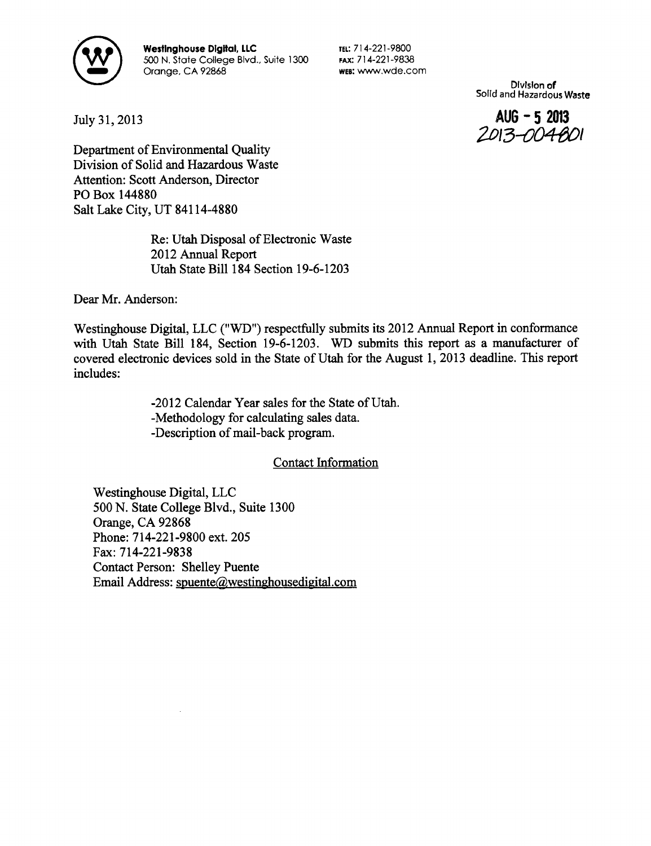

Westinghouse Digital, LLC 500 N. State College Blvd., Suite 1300 Orange, CA 92868

TEL: 714-221-9800 FAX: 714-221-9838 WEB: wvvw.wde.com

> Division of Solid and Hazardous Waste

July 31,2013 **AUG - 5 2013** 

*2D\3-004\$D\* Department of Environmental Quality Division of Solid and Hazardous Waste Attention: Scott Anderson, Director PO Box 144880 Salt Lake City, UT 84114-4880

> Re: Utah Disposal of Electronic Waste 2012 Annual Report Utah State Bill 184 Section 19-6-1203

Dear Mr. Anderson:

Westinghouse Digital, LLC ("WD") respectfully submits its 2012 Annual Report in conformance with Utah State Bill 184, Section 19-6-1203. WD submits this report as a manufacturer of covered electronic devices sold in the State of Utah for the August 1, 2013 deadline. This report includes:

> -2012 Calendar Year sales for the State of Utah. -Methodology for calculating sales data. -Description of mail-back program.

> > Contact Information

Westinghouse Digital, LLC 500 N. State College Blvd., Suite 1300 Orange, CA 92868 Phone: 714-221-9800 ext. 205 Fax: 714-221-9838 Contact Person: Shelley Puente Email Address: spuente@westinghousedigital.com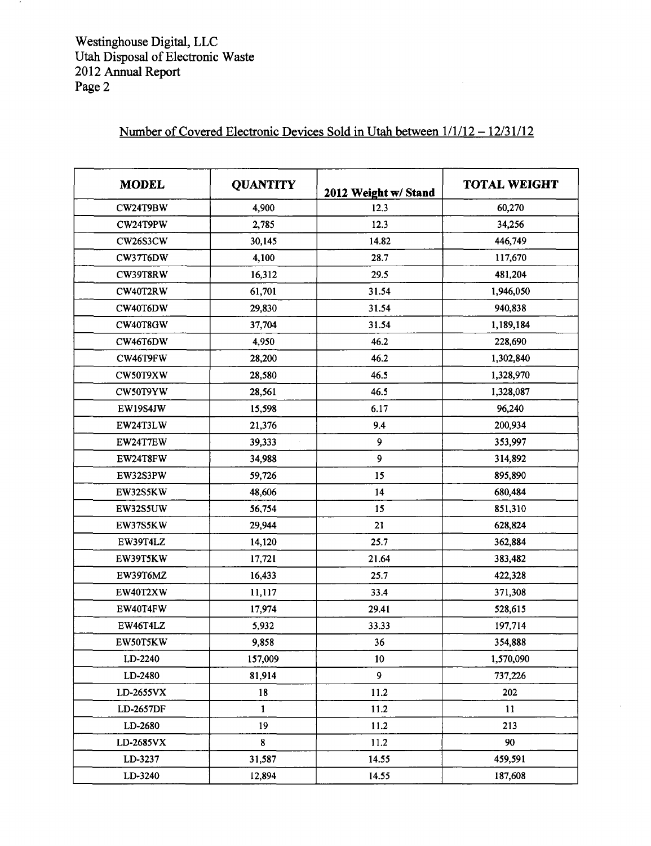$\mathcal{A}$ 

## **Number of Covered Electronic Devices Sold in Utah between 1/1/12 - 12/31/12**

| <b>MODEL</b> | <b>QUANTITY</b> | 2012 Weight w/ Stand | <b>TOTAL WEIGHT</b> |
|--------------|-----------------|----------------------|---------------------|
| CW24T9BW     | 4,900           | 12.3                 | 60,270              |
| CW24T9PW     | 2,785           | 12.3                 | 34,256              |
| CW26S3CW     | 30,145          | 14.82                | 446,749             |
| CW37T6DW     | 4,100           | 28.7                 | 117,670             |
| CW39T8RW     | 16,312          | 29.5                 | 481,204             |
| CW40T2RW     | 61,701          | 31.54                | 1,946,050           |
| CW40T6DW     | 29,830          | 31.54                | 940,838             |
| CW40T8GW     | 37,704          | 31.54                | 1,189,184           |
| CW46T6DW     | 4,950           | 46.2                 | 228,690             |
| CW46T9FW     | 28,200          | 46.2                 | 1,302,840           |
| CW50T9XW     | 28,580          | 46.5                 | 1,328,970           |
| CW50T9YW     | 28,561          | 46.5                 | 1,328,087           |
| EW19S4JW     | 15,598          | 6.17                 | 96,240              |
| EW24T3LW     | 21,376          | 9.4                  | 200,934             |
| EW24T7EW     | 39,333          | 9                    | 353,997             |
| EW24T8FW     | 34,988          | 9                    | 314,892             |
| EW32S3PW     | 59,726          | 15                   | 895,890             |
| EW32S5KW     | 48,606          | 14                   | 680,484             |
| EW32S5UW     | 56,754          | 15                   | 851,310             |
| EW37S5KW     | 29,944          | 21                   | 628,824             |
| EW39T4LZ     | 14,120          | 25.7                 | 362,884             |
| EW39T5KW     | 17,721          | 21.64                | 383,482             |
| EW39T6MZ     | 16,433          | 25.7                 | 422,328             |
| EW40T2XW     | 11,117          | 33.4                 | 371,308             |
| EW40T4FW     | 17,974          | 29.41                | 528,615             |
| EW46T4LZ     | 5,932           | 33.33                | 197,714             |
| EW50T5KW     | 9,858           | 36                   | 354,888             |
| LD-2240      | 157,009         | 10 <sub>1</sub>      | 1,570,090           |
| LD-2480      | 81,914          | 9                    | 737,226             |
| LD-2655VX    | 18              | 11.2                 | 202                 |
| LD-2657DF    | $\mathbf{1}$    | 11.2                 | 11                  |
| LD-2680      | 19              | 11.2                 | 213                 |
| LD-2685VX    | 8               | 11.2                 | 90                  |
| LD-3237      | 31,587          | 14.55                | 459,591             |
| LD-3240      | 12,894          | 14.55                | 187,608             |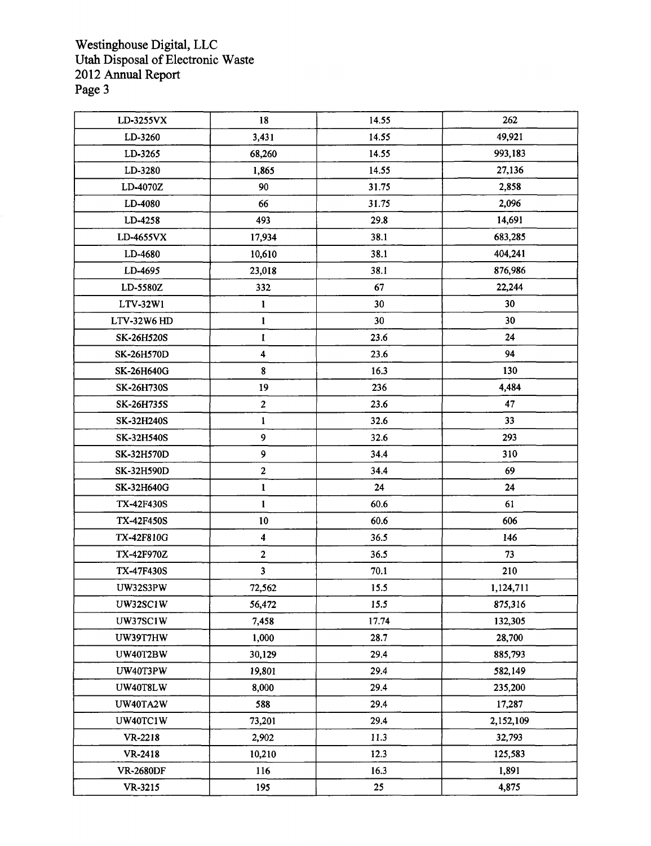Westinghouse Digital, LLC Utah Disposal of Electronic Waste 2012 Annual Report Page 3

| LD-3255VX         | 18                      | 14.55 | 262       |
|-------------------|-------------------------|-------|-----------|
| LD-3260           | 3,431                   | 14.55 | 49,921    |
| LD-3265           | 68,260                  | 14.55 | 993,183   |
| LD-3280           | 1,865                   | 14.55 | 27,136    |
| LD-4070Z          | 90                      | 31.75 | 2,858     |
| LD-4080           | 66                      | 31.75 | 2,096     |
| LD-4258           | 493                     | 29.8  | 14,691    |
| LD-4655VX         | 17,934                  | 38.1  | 683,285   |
| LD-4680           | 10,610                  | 38.1  | 404,241   |
| LD-4695           | 23,018                  | 38.1  | 876,986   |
| LD-5580Z          | 332                     | 67    | 22,244    |
| LTV-32W1          | $\mathbf{1}$            | 30    | 30        |
| LTV-32W6 HD       | $\mathbf{1}$            | 30    | 30        |
| SK-26H520S        | 1                       | 23.6  | 24        |
| <b>SK-26H570D</b> | 4                       | 23.6  | 94        |
| <b>SK-26H640G</b> | 8                       | 16.3  | 130       |
| <b>SK-26H730S</b> | 19                      | 236   | 4,484     |
| SK-26H735S        | $\mathbf{2}$            | 23.6  | 47        |
| <b>SK-32H240S</b> | $\mathbf{1}$            | 32.6  | 33        |
| <b>SK-32H540S</b> | 9                       | 32.6  | 293       |
| <b>SK-32H570D</b> | 9                       | 34.4  | 310       |
| SK-32H590D        | $\mathbf{2}$            | 34.4  | 69        |
| SK-32H640G        | $\mathbf{1}$            | 24    | 24        |
| <b>TX-42F430S</b> | $\mathbf{1}$            | 60.6  | 61        |
| <b>TX-42F450S</b> | 10                      | 60.6  | 606       |
| TX-42F810G        | $\overline{\mathbf{4}}$ | 36.5  | 146       |
| TX-42F970Z        | $\overline{2}$          | 36.5  | 73        |
| <b>TX-47F430S</b> | $\overline{\mathbf{3}}$ | 70.1  | 210       |
| UW32S3PW          | 72,562                  | 15.5  | 1,124,711 |
| UW32SC1W          | 56,472                  | 15.5  | 875,316   |
| <b>UW37SC1W</b>   | 7,458                   | 17.74 | 132,305   |
| UW39T7HW          | 1,000                   | 28.7  | 28,700    |
| <b>UW40T2BW</b>   | 30,129                  | 29.4  | 885,793   |
| UW40T3PW          | 19,801                  | 29.4  | 582,149   |
| <b>UW40T8LW</b>   | 8,000                   | 29.4  | 235,200   |
| UW40TA2W          | 588                     | 29.4  | 17,287    |
| UW40TC1W          | 73,201                  | 29.4  | 2,152,109 |
| VR-2218           | 2,902                   | 11.3  | 32,793    |
| VR-2418           | 10,210                  | 12.3  | 125,583   |
| <b>VR-2680DF</b>  | 116                     | 16.3  | 1,891     |
| VR-3215           | 195                     | 25    | 4,875     |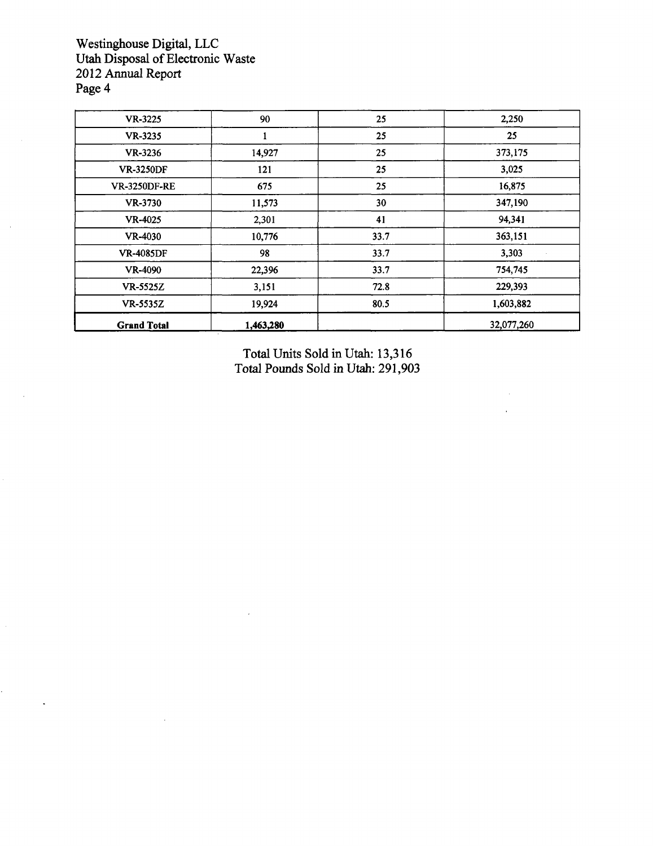Westinghouse Digital, LLC Utah Disposal of Electronic Waste 2012 Annual Report Page 4

| VR-3225             | 90        | 25   | 2,250      |
|---------------------|-----------|------|------------|
| VR-3235             |           | 25   | 25         |
| VR-3236             | 14,927    | 25   | 373,175    |
| <b>VR-3250DF</b>    | 121       | 25   | 3,025      |
| <b>VR-3250DF-RE</b> | 675       | 25   | 16,875     |
| VR-3730             | 11,573    | 30   | 347,190    |
| VR-4025             | 2,301     | 41   | 94,341     |
| VR-4030             | 10,776    | 33.7 | 363,151    |
| <b>VR-4085DF</b>    | 98        | 33.7 | 3,303      |
| <b>VR-4090</b>      | 22,396    | 33.7 | 754,745    |
| <b>VR-5525Z</b>     | 3,151     | 72.8 | 229,393    |
| <b>VR-5535Z</b>     | 19,924    | 80.5 | 1,603,882  |
| <b>Grand Total</b>  | 1,463,280 |      | 32,077,260 |

Total Units Sold in Utah: 13,316 Total Pounds Sold in Utah: 291,903